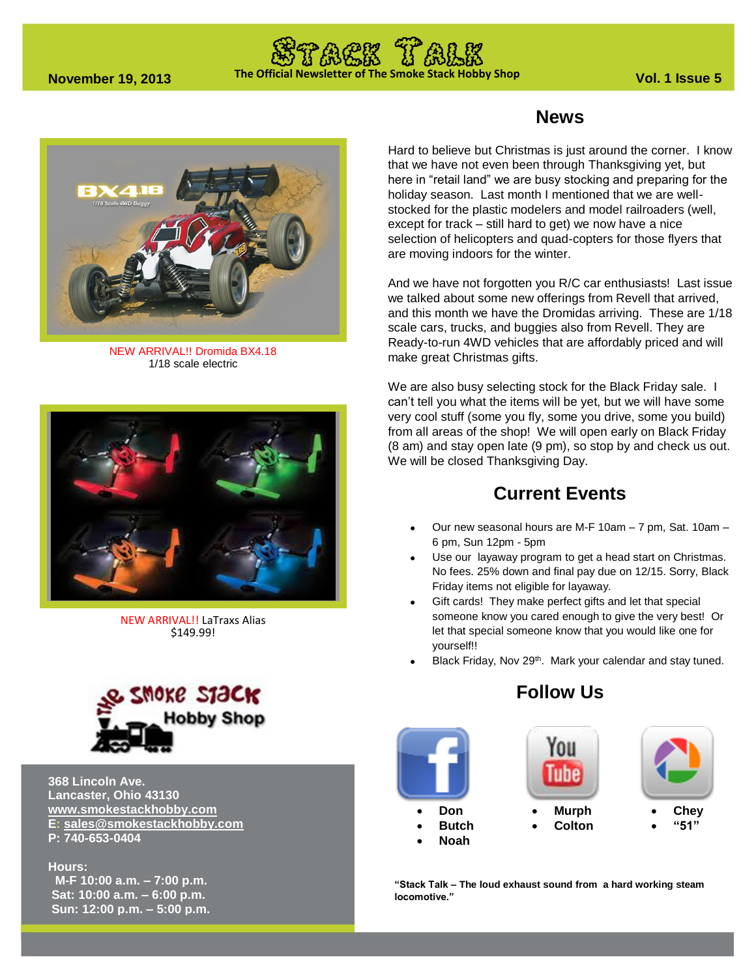# **The Official Newsletter of The Smoke Stack Hobby Shop November 19, 2013 Vol. 1 Issue 5**



NEW ARRIVAL!! Dromida BX4.18 1/18 scale electric



NEW ARRIVAL!! LaTraxs Alias \$149.99!



**368 Lincoln Ave. Lancaster, Ohio 43130 [www.smokestackhobby.com](http://www.smokestackhobby.com/) E: [sales@smokestackhobby.com](mailto:sales@smokestackhobby.com) P: 740-653-0404**

#### **Hours:**

 **M-F 10:00 a.m. – 7:00 p.m. Sat: 10:00 a.m. – 6:00 p.m. Sun: 12:00 p.m. – 5:00 p.m.** 

## **News**

Hard to believe but Christmas is just around the corner. I know that we have not even been through Thanksgiving yet, but here in "retail land" we are busy stocking and preparing for the holiday season. Last month I mentioned that we are wellstocked for the plastic modelers and model railroaders (well, except for track – still hard to get) we now have a nice selection of helicopters and quad-copters for those flyers that are moving indoors for the winter.

And we have not forgotten you R/C car enthusiasts! Last issue we talked about some new offerings from Revell that arrived, and this month we have the Dromidas arriving. These are 1/18 scale cars, trucks, and buggies also from Revell. They are Ready-to-run 4WD vehicles that are affordably priced and will make great Christmas gifts.

We are also busy selecting stock for the Black Friday sale. I can't tell you what the items will be yet, but we will have some very cool stuff (some you fly, some you drive, some you build) from all areas of the shop! We will open early on Black Friday (8 am) and stay open late (9 pm), so stop by and check us out. We will be closed Thanksgiving Day.

## **Current Events**

- Our new seasonal hours are M-F 10am 7 pm, Sat. 10am 6 pm, Sun 12pm - 5pm
- Use our layaway program to get a head start on Christmas. No fees. 25% down and final pay due on 12/15. Sorry, Black Friday items not eligible for layaway.
- Gift cards! They make perfect gifts and let that special someone know you cared enough to give the very best! Or let that special someone know that you would like one for yourself!!
- Black Friday, Nov 29<sup>th</sup>. Mark your calendar and stay tuned.

## **Follow Us**



**"Stack Talk – The loud exhaust sound from a hard working steam locomotive."**